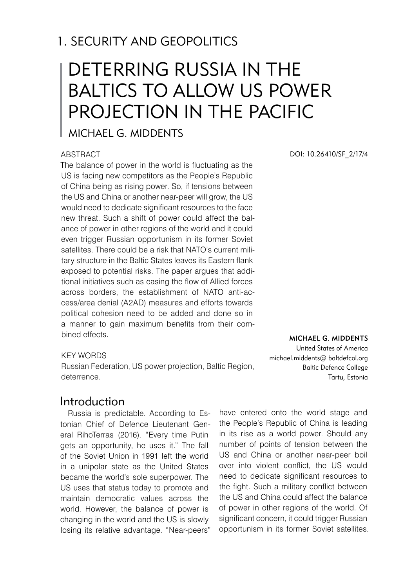# 1. SECURITY AND GEOPOLITICS

# DETERRING RUSSIA IN THE BALTICS TO ALLOW US POWER PROJECTION IN THE PACIFIC

# Michael G. Middents

#### **ABSTRACT**

The balance of power in the world is fluctuating as the US is facing new competitors as the People's Republic of China being as rising power. So, if tensions between the US and China or another near-peer will grow, the US would need to dedicate significant resources to the face new threat. Such a shift of power could affect the balance of power in other regions of the world and it could even trigger Russian opportunism in its former Soviet satellites. There could be a risk that NATO's current military structure in the Baltic States leaves its Eastern flank exposed to potential risks. The paper argues that additional initiatives such as easing the flow of Allied forces across borders, the establishment of NATO anti-access/area denial (A2AD) measures and efforts towards political cohesion need to be added and done so in a manner to gain maximum benefits from their combined effects.

#### KEY WORDS

Russian Federation, US power projection, Baltic Region, deterrence.

## Introduction

Russia is predictable. According to Estonian Chief of Defence Lieutenant General RihoTerras (2016), "Every time Putin gets an opportunity, he uses it." The fall of the Soviet Union in 1991 left the world in a unipolar state as the United States became the world's sole superpower. The US uses that status today to promote and maintain democratic values across the world. However, the balance of power is changing in the world and the US is slowly losing its relative advantage. "Near-peers"

DOI: 10.26410/SF\_2/17/4

MICHAEL G. MIDDENTS United States of America michael.middents@ baltdefcol.org Baltic Defence College Tartu, Estonia

have entered onto the world stage and the People's Republic of China is leading in its rise as a world power. Should any number of points of tension between the US and China or another near-peer boil over into violent conflict, the US would need to dedicate significant resources to the fight. Such a military conflict between the US and China could affect the balance of power in other regions of the world. Of significant concern, it could trigger Russian opportunism in its former Soviet satellites.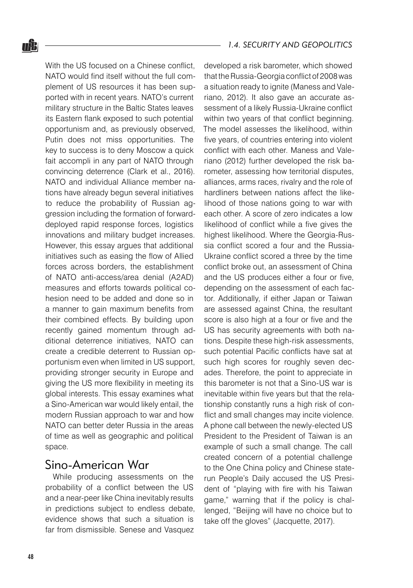With the US focused on a Chinese conflict, NATO would find itself without the full complement of US resources it has been supported with in recent years. NATO's current military structure in the Baltic States leaves its Eastern flank exposed to such potential opportunism and, as previously observed, Putin does not miss opportunities. The key to success is to deny Moscow a quick fait accompli in any part of NATO through convincing deterrence (Clark et al., 2016). NATO and individual Alliance member nations have already begun several initiatives to reduce the probability of Russian aggression including the formation of forwarddeployed rapid response forces, logistics innovations and military budget increases. However, this essay argues that additional initiatives such as easing the flow of Allied forces across borders, the establishment of NATO anti-access/area denial (A2AD) measures and efforts towards political cohesion need to be added and done so in a manner to gain maximum benefits from their combined effects. By building upon recently gained momentum through additional deterrence initiatives, NATO can create a credible deterrent to Russian opportunism even when limited in US support, providing stronger security in Europe and giving the US more flexibility in meeting its global interests. This essay examines what a Sino-American war would likely entail, the modern Russian approach to war and how NATO can better deter Russia in the areas of time as well as geographic and political space.

## Sino-American War

While producing assessments on the probability of a conflict between the US and a near-peer like China inevitably results in predictions subject to endless debate, evidence shows that such a situation is far from dismissible. Senese and Vasquez

developed a risk barometer, which showed that the Russia-Georgia conflict of 2008 was a situation ready to ignite (Maness and Valeriano, 2012). It also gave an accurate assessment of a likely Russia-Ukraine conflict within two years of that conflict beginning. The model assesses the likelihood, within five years, of countries entering into violent conflict with each other. Maness and Valeriano (2012) further developed the risk barometer, assessing how territorial disputes, alliances, arms races, rivalry and the role of hardliners between nations affect the likelihood of those nations going to war with each other. A score of zero indicates a low likelihood of conflict while a five gives the highest likelihood. Where the Georgia-Russia conflict scored a four and the Russia-Ukraine conflict scored a three by the time conflict broke out, an assessment of China and the US produces either a four or five, depending on the assessment of each factor. Additionally, if either Japan or Taiwan are assessed against China, the resultant score is also high at a four or five and the US has security agreements with both nations. Despite these high-risk assessments, such potential Pacific conflicts have sat at such high scores for roughly seven decades. Therefore, the point to appreciate in this barometer is not that a Sino-US war is inevitable within five years but that the relationship constantly runs a high risk of conflict and small changes may incite violence. A phone call between the newly-elected US President to the President of Taiwan is an example of such a small change. The call created concern of a potential challenge to the One China policy and Chinese staterun People's Daily accused the US President of "playing with fire with his Taiwan game," warning that if the policy is challenged, "Beijing will have no choice but to take off the gloves" (Jacquette, 2017).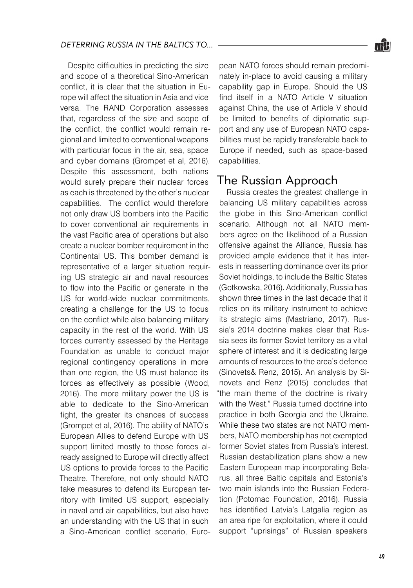Despite difficulties in predicting the size and scope of a theoretical Sino-American conflict, it is clear that the situation in Europe will affect the situation in Asia and vice versa. The RAND Corporation assesses that, regardless of the size and scope of the conflict, the conflict would remain regional and limited to conventional weapons with particular focus in the air, sea, space and cyber domains (Grompet et al, 2016). Despite this assessment, both nations would surely prepare their nuclear forces as each is threatened by the other's nuclear capabilities. The conflict would therefore not only draw US bombers into the Pacific to cover conventional air requirements in the vast Pacific area of operations but also create a nuclear bomber requirement in the Continental US. This bomber demand is representative of a larger situation requiring US strategic air and naval resources to flow into the Pacific or generate in the US for world-wide nuclear commitments, creating a challenge for the US to focus on the conflict while also balancing military capacity in the rest of the world. With US forces currently assessed by the Heritage Foundation as unable to conduct major regional contingency operations in more than one region, the US must balance its forces as effectively as possible (Wood, 2016). The more military power the US is able to dedicate to the Sino-American fight, the greater its chances of success (Grompet et al, 2016). The ability of NATO's European Allies to defend Europe with US support limited mostly to those forces already assigned to Europe will directly affect US options to provide forces to the Pacific Theatre. Therefore, not only should NATO take measures to defend its European territory with limited US support, especially in naval and air capabilities, but also have an understanding with the US that in such a Sino-American conflict scenario, European NATO forces should remain predominately in-place to avoid causing a military capability gap in Europe. Should the US find itself in a NATO Article V situation against China, the use of Article V should be limited to benefits of diplomatic support and any use of European NATO capabilities must be rapidly transferable back to Europe if needed, such as space-based capabilities.

## The Russian Approach

Russia creates the greatest challenge in balancing US military capabilities across the globe in this Sino-American conflict scenario. Although not all NATO members agree on the likelihood of a Russian offensive against the Alliance, Russia has provided ample evidence that it has interests in reasserting dominance over its prior Soviet holdings, to include the Baltic States (Gotkowska, 2016). Additionally, Russia has shown three times in the last decade that it relies on its military instrument to achieve its strategic aims (Mastriano, 2017). Russia's 2014 doctrine makes clear that Russia sees its former Soviet territory as a vital sphere of interest and it is dedicating large amounts of resources to the area's defence (Sinovets& Renz, 2015). An analysis by Sinovets and Renz (2015) concludes that "the main theme of the doctrine is rivalry with the West." Russia turned doctrine into practice in both Georgia and the Ukraine. While these two states are not NATO members, NATO membership has not exempted former Soviet states from Russia's interest. Russian destabilization plans show a new Eastern European map incorporating Belarus, all three Baltic capitals and Estonia's two main islands into the Russian Federation (Potomac Foundation, 2016). Russia has identified Latvia's Latgalia region as an area ripe for exploitation, where it could support "uprisings" of Russian speakers

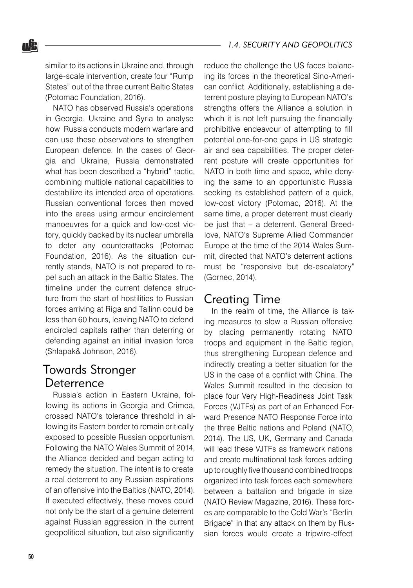similar to its actions in Ukraine and, through large-scale intervention, create four "Rump States" out of the three current Baltic States (Potomac Foundation, 2016).

nŜ.

NATO has observed Russia's operations in Georgia, Ukraine and Syria to analyse how Russia conducts modern warfare and can use these observations to strengthen European defence. In the cases of Georgia and Ukraine, Russia demonstrated what has been described a "hybrid" tactic, combining multiple national capabilities to destabilize its intended area of operations. Russian conventional forces then moved into the areas using armour encirclement manoeuvres for a quick and low-cost victory, quickly backed by its nuclear umbrella to deter any counterattacks (Potomac Foundation, 2016). As the situation currently stands, NATO is not prepared to repel such an attack in the Baltic States. The timeline under the current defence structure from the start of hostilities to Russian forces arriving at Riga and Tallinn could be less than 60 hours, leaving NATO to defend encircled capitals rather than deterring or defending against an initial invasion force (Shlapak& Johnson, 2016).

## Towards Stronger Deterrence

Russia's action in Eastern Ukraine, following its actions in Georgia and Crimea, crossed NATO's tolerance threshold in allowing its Eastern border to remain critically exposed to possible Russian opportunism. Following the NATO Wales Summit of 2014, the Alliance decided and began acting to remedy the situation. The intent is to create a real deterrent to any Russian aspirations of an offensive into the Baltics (NATO, 2014). If executed effectively, these moves could not only be the start of a genuine deterrent against Russian aggression in the current geopolitical situation, but also significantly

reduce the challenge the US faces balancing its forces in the theoretical Sino-American conflict. Additionally, establishing a deterrent posture playing to European NATO's strengths offers the Alliance a solution in which it is not left pursuing the financially prohibitive endeavour of attempting to fill potential one-for-one gaps in US strategic air and sea capabilities. The proper deterrent posture will create opportunities for NATO in both time and space, while denying the same to an opportunistic Russia seeking its established pattern of a quick, low-cost victory (Potomac, 2016). At the same time, a proper deterrent must clearly be just that – a deterrent. General Breedlove, NATO's Supreme Allied Commander Europe at the time of the 2014 Wales Summit, directed that NATO's deterrent actions must be "responsive but de-escalatory" (Gornec, 2014).

#### Creating Time

In the realm of time, the Alliance is taking measures to slow a Russian offensive by placing permanently rotating NATO troops and equipment in the Baltic region, thus strengthening European defence and indirectly creating a better situation for the US in the case of a conflict with China. The Wales Summit resulted in the decision to place four Very High-Readiness Joint Task Forces (VJTFs) as part of an Enhanced Forward Presence NATO Response Force into the three Baltic nations and Poland (NATO, 2014). The US, UK, Germany and Canada will lead these VJTFs as framework nations and create multinational task forces adding up to roughly five thousand combined troops organized into task forces each somewhere between a battalion and brigade in size (NATO Review Magazine, 2016). These forces are comparable to the Cold War's "Berlin Brigade" in that any attack on them by Russian forces would create a tripwire-effect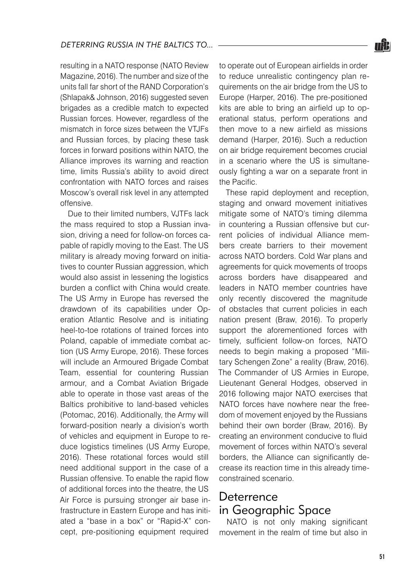resulting in a NATO response (NATO Review Magazine, 2016). The number and size of the units fall far short of the RAND Corporation's (Shlapak& Johnson, 2016) suggested seven brigades as a credible match to expected Russian forces. However, regardless of the mismatch in force sizes between the VTJFs and Russian forces, by placing these task forces in forward positions within NATO, the Alliance improves its warning and reaction time, limits Russia's ability to avoid direct confrontation with NATO forces and raises Moscow's overall risk level in any attempted offensive.

Due to their limited numbers, VJTFs lack the mass required to stop a Russian invasion, driving a need for follow-on forces capable of rapidly moving to the East. The US military is already moving forward on initiatives to counter Russian aggression, which would also assist in lessening the logistics burden a conflict with China would create. The US Army in Europe has reversed the drawdown of its capabilities under Operation Atlantic Resolve and is initiating heel-to-toe rotations of trained forces into Poland, capable of immediate combat action (US Army Europe, 2016). These forces will include an Armoured Brigade Combat Team, essential for countering Russian armour, and a Combat Aviation Brigade able to operate in those vast areas of the Baltics prohibitive to land-based vehicles (Potomac, 2016). Additionally, the Army will forward-position nearly a division's worth of vehicles and equipment in Europe to reduce logistics timelines (US Army Europe, 2016). These rotational forces would still need additional support in the case of a Russian offensive. To enable the rapid flow of additional forces into the theatre, the US Air Force is pursuing stronger air base infrastructure in Eastern Europe and has initiated a "base in a box" or "Rapid-X" concept, pre-positioning equipment required

to operate out of European airfields in order to reduce unrealistic contingency plan requirements on the air bridge from the US to Europe (Harper, 2016). The pre-positioned kits are able to bring an airfield up to operational status, perform operations and then move to a new airfield as missions demand (Harper, 2016). Such a reduction on air bridge requirement becomes crucial in a scenario where the US is simultaneously fighting a war on a separate front in the Pacific.

These rapid deployment and reception, staging and onward movement initiatives mitigate some of NATO's timing dilemma in countering a Russian offensive but current policies of individual Alliance members create barriers to their movement across NATO borders. Cold War plans and agreements for quick movements of troops across borders have disappeared and leaders in NATO member countries have only recently discovered the magnitude of obstacles that current policies in each nation present (Braw, 2016). To properly support the aforementioned forces with timely, sufficient follow-on forces, NATO needs to begin making a proposed "Military Schengen Zone" a reality (Braw, 2016). The Commander of US Armies in Europe, Lieutenant General Hodges, observed in 2016 following major NATO exercises that NATO forces have nowhere near the freedom of movement enjoyed by the Russians behind their own border (Braw, 2016). By creating an environment conducive to fluid movement of forces within NATO's several borders, the Alliance can significantly decrease its reaction time in this already timeconstrained scenario.

## Deterrence in Geographic Space

NATO is not only making significant movement in the realm of time but also in

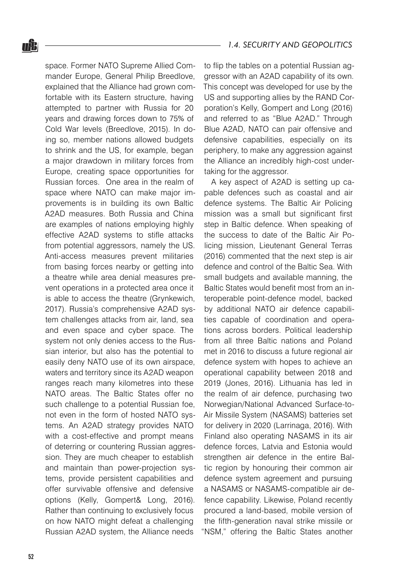space. Former NATO Supreme Allied Commander Europe, General Philip Breedlove, explained that the Alliance had grown comfortable with its Eastern structure, having attempted to partner with Russia for 20 years and drawing forces down to 75% of Cold War levels (Breedlove, 2015). In doing so, member nations allowed budgets to shrink and the US, for example, began a major drawdown in military forces from Europe, creating space opportunities for Russian forces. One area in the realm of space where NATO can make major improvements is in building its own Baltic A2AD measures. Both Russia and China are examples of nations employing highly effective A2AD systems to stifle attacks from potential aggressors, namely the US. Anti-access measures prevent militaries from basing forces nearby or getting into a theatre while area denial measures prevent operations in a protected area once it is able to access the theatre (Grynkewich, 2017). Russia's comprehensive A2AD system challenges attacks from air, land, sea and even space and cyber space. The system not only denies access to the Russian interior, but also has the potential to easily deny NATO use of its own airspace, waters and territory since its A2AD weapon ranges reach many kilometres into these NATO areas. The Baltic States offer no such challenge to a potential Russian foe, not even in the form of hosted NATO systems. An A2AD strategy provides NATO with a cost-effective and prompt means of deterring or countering Russian aggression. They are much cheaper to establish and maintain than power-projection systems, provide persistent capabilities and offer survivable offensive and defensive options (Kelly, Gompert& Long, 2016). Rather than continuing to exclusively focus on how NATO might defeat a challenging Russian A2AD system, the Alliance needs

to flip the tables on a potential Russian aggressor with an A2AD capability of its own. This concept was developed for use by the US and supporting allies by the RAND Corporation's Kelly, Gompert and Long (2016) and referred to as "Blue A2AD." Through Blue A2AD, NATO can pair offensive and defensive capabilities, especially on its periphery, to make any aggression against the Alliance an incredibly high-cost undertaking for the aggressor.

A key aspect of A2AD is setting up capable defences such as coastal and air defence systems. The Baltic Air Policing mission was a small but significant first step in Baltic defence. When speaking of the success to date of the Baltic Air Policing mission, Lieutenant General Terras (2016) commented that the next step is air defence and control of the Baltic Sea. With small budgets and available manning, the Baltic States would benefit most from an interoperable point-defence model, backed by additional NATO air defence capabilities capable of coordination and operations across borders. Political leadership from all three Baltic nations and Poland met in 2016 to discuss a future regional air defence system with hopes to achieve an operational capability between 2018 and 2019 (Jones, 2016). Lithuania has led in the realm of air defence, purchasing two Norwegian/National Advanced Surface-to-Air Missile System (NASAMS) batteries set for delivery in 2020 (Larrinaga, 2016). With Finland also operating NASAMS in its air defence forces, Latvia and Estonia would strengthen air defence in the entire Baltic region by honouring their common air defence system agreement and pursuing a NASAMS or NASAMS-compatible air defence capability. Likewise, Poland recently procured a land-based, mobile version of the fifth-generation naval strike missile or "NSM," offering the Baltic States another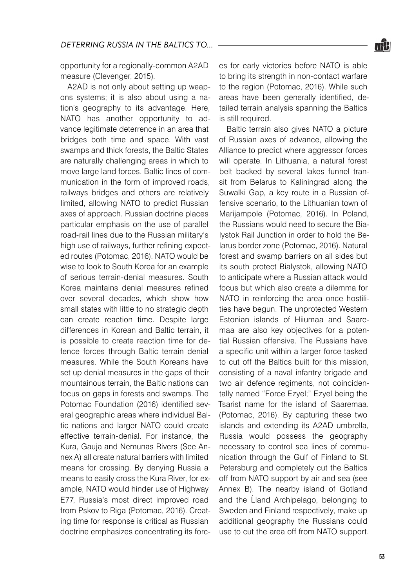opportunity for a regionally-common A2AD measure (Clevenger, 2015).

A2AD is not only about setting up weapons systems; it is also about using a nation's geography to its advantage. Here, NATO has another opportunity to advance legitimate deterrence in an area that bridges both time and space. With vast swamps and thick forests, the Baltic States are naturally challenging areas in which to move large land forces. Baltic lines of communication in the form of improved roads, railways bridges and others are relatively limited, allowing NATO to predict Russian axes of approach. Russian doctrine places particular emphasis on the use of parallel road-rail lines due to the Russian military's high use of railways, further refining expected routes (Potomac, 2016). NATO would be wise to look to South Korea for an example of serious terrain-denial measures. South Korea maintains denial measures refined over several decades, which show how small states with little to no strategic depth can create reaction time. Despite large differences in Korean and Baltic terrain, it is possible to create reaction time for defence forces through Baltic terrain denial measures. While the South Koreans have set up denial measures in the gaps of their mountainous terrain, the Baltic nations can focus on gaps in forests and swamps. The Potomac Foundation (2016) identified several geographic areas where individual Baltic nations and larger NATO could create effective terrain-denial. For instance, the Kura, Gauja and Nemunas Rivers (See Annex A) all create natural barriers with limited means for crossing. By denying Russia a means to easily cross the Kura River, for example, NATO would hinder use of Highway E77, Russia's most direct improved road from Pskov to Riga (Potomac, 2016). Creating time for response is critical as Russian doctrine emphasizes concentrating its forces for early victories before NATO is able to bring its strength in non-contact warfare to the region (Potomac, 2016). While such areas have been generally identified, detailed terrain analysis spanning the Baltics is still required.

Baltic terrain also gives NATO a picture of Russian axes of advance, allowing the Alliance to predict where aggressor forces will operate. In Lithuania, a natural forest belt backed by several lakes funnel transit from Belarus to Kaliningrad along the Suwalki Gap, a key route in a Russian offensive scenario, to the Lithuanian town of Marijampole (Potomac, 2016). In Poland, the Russians would need to secure the Bialystok Rail Junction in order to hold the Belarus border zone (Potomac, 2016). Natural forest and swamp barriers on all sides but its south protect Bialystok, allowing NATO to anticipate where a Russian attack would focus but which also create a dilemma for NATO in reinforcing the area once hostilities have begun. The unprotected Western Estonian islands of Hiiumaa and Saaremaa are also key objectives for a potential Russian offensive. The Russians have a specific unit within a larger force tasked to cut off the Baltics built for this mission, consisting of a naval infantry brigade and two air defence regiments, not coincidentally named "Force Ezyel;" Ezyel being the Tsarist name for the island of Saaremaa. (Potomac, 2016). By capturing these two islands and extending its A2AD umbrella, Russia would possess the geography necessary to control sea lines of communication through the Gulf of Finland to St. Petersburg and completely cut the Baltics off from NATO support by air and sea (see Annex B). The nearby island of Gotland and the Ĺland Archipelago, belonging to Sweden and Finland respectively, make up additional geography the Russians could use to cut the area off from NATO support.

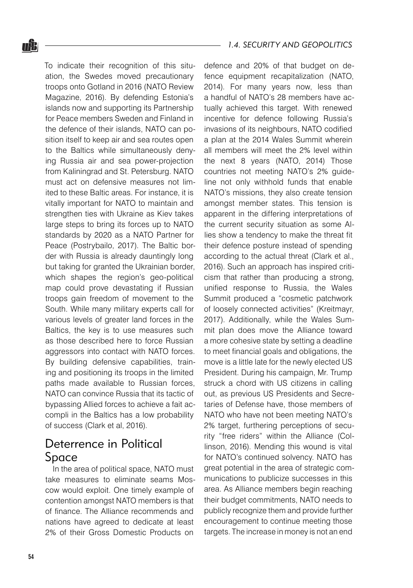To indicate their recognition of this situation, the Swedes moved precautionary troops onto Gotland in 2016 (NATO Review Magazine, 2016). By defending Estonia's islands now and supporting its Partnership for Peace members Sweden and Finland in the defence of their islands, NATO can position itself to keep air and sea routes open to the Baltics while simultaneously denying Russia air and sea power-projection from Kaliningrad and St. Petersburg. NATO must act on defensive measures not limited to these Baltic areas. For instance, it is vitally important for NATO to maintain and strengthen ties with Ukraine as Kiev takes large steps to bring its forces up to NATO standards by 2020 as a NATO Partner for Peace (Postrybailo, 2017). The Baltic border with Russia is already dauntingly long but taking for granted the Ukrainian border, which shapes the region's geo-political map could prove devastating if Russian troops gain freedom of movement to the South. While many military experts call for various levels of greater land forces in the Baltics, the key is to use measures such as those described here to force Russian aggressors into contact with NATO forces. By building defensive capabilities, training and positioning its troops in the limited paths made available to Russian forces, NATO can convince Russia that its tactic of bypassing Allied forces to achieve a fait accompli in the Baltics has a low probability of success (Clark et al, 2016).

## Deterrence in Political Space

In the area of political space, NATO must take measures to eliminate seams Moscow would exploit. One timely example of contention amongst NATO members is that of finance. The Alliance recommends and nations have agreed to dedicate at least 2% of their Gross Domestic Products on

defence and 20% of that budget on defence equipment recapitalization (NATO, 2014). For many years now, less than a handful of NATO's 28 members have actually achieved this target. With renewed incentive for defence following Russia's invasions of its neighbours, NATO codified a plan at the 2014 Wales Summit wherein all members will meet the 2% level within the next 8 years (NATO, 2014) Those countries not meeting NATO's 2% guideline not only withhold funds that enable NATO's missions, they also create tension amongst member states. This tension is apparent in the differing interpretations of the current security situation as some Allies show a tendency to make the threat fit their defence posture instead of spending according to the actual threat (Clark et al., 2016). Such an approach has inspired criticism that rather than producing a strong, unified response to Russia, the Wales Summit produced a "cosmetic patchwork of loosely connected activities" (Kreitmayr, 2017). Additionally, while the Wales Summit plan does move the Alliance toward a more cohesive state by setting a deadline to meet financial goals and obligations, the move is a little late for the newly elected US President. During his campaign, Mr. Trump struck a chord with US citizens in calling out, as previous US Presidents and Secretaries of Defense have, those members of NATO who have not been meeting NATO's 2% target, furthering perceptions of security "free riders" within the Alliance (Collinson, 2016). Mending this wound is vital for NATO's continued solvency. NATO has great potential in the area of strategic communications to publicize successes in this area. As Alliance members begin reaching their budget commitments, NATO needs to publicly recognize them and provide further encouragement to continue meeting those targets. The increase in money is not an end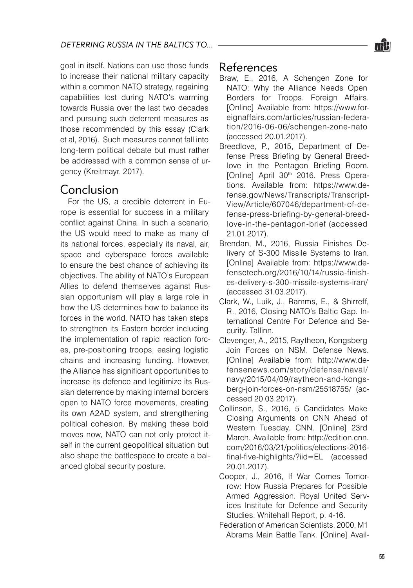goal in itself. Nations can use those funds to increase their national military capacity within a common NATO strategy, regaining capabilities lost during NATO's warming towards Russia over the last two decades and pursuing such deterrent measures as those recommended by this essay (Clark et al, 2016). Such measures cannot fall into long-term political debate but must rather be addressed with a common sense of urgency (Kreitmayr, 2017).

## Conclusion

For the US, a credible deterrent in Europe is essential for success in a military conflict against China. In such a scenario, the US would need to make as many of its national forces, especially its naval, air, space and cyberspace forces available to ensure the best chance of achieving its objectives. The ability of NATO's European Allies to defend themselves against Russian opportunism will play a large role in how the US determines how to balance its forces in the world. NATO has taken steps to strengthen its Eastern border including the implementation of rapid reaction forces, pre-positioning troops, easing logistic chains and increasing funding. However, the Alliance has significant opportunities to increase its defence and legitimize its Russian deterrence by making internal borders open to NATO force movements, creating its own A2AD system, and strengthening political cohesion. By making these bold moves now, NATO can not only protect itself in the current geopolitical situation but also shape the battlespace to create a balanced global security posture.

## References

- Braw, E., 2016, A Schengen Zone for NATO: Why the Alliance Needs Open Borders for Troops. Foreign Affairs. [Online] Available from: https://www.foreignaffairs.com/articles/russian-federation/2016-06-06/schengen-zone-nato (accessed 20.01.2017).
- Breedlove, P., 2015, Department of Defense Press Briefing by General Breedlove in the Pentagon Briefing Room. [Online] April 30th 2016. Press Operations. Available from: https://www.defense.gov/News/Transcripts/Transcript-View/Article/607046/department-of-defense-press-briefing-by-general-breedlove-in-the-pentagon-brief (accessed 21.01.2017).
- Brendan, M., 2016, Russia Finishes Delivery of S-300 Missile Systems to Iran. [Online] Available from: https://www.defensetech.org/2016/10/14/russia-finishes-delivery-s-300-missile-systems-iran/ (accessed 31.03.2017).
- Clark, W., Luik, J., Ramms, E., & Shirreff, R., 2016, Closing NATO's Baltic Gap. International Centre For Defence and Security. Tallinn.
- Clevenger, A., 2015, Raytheon, Kongsberg Join Forces on NSM. Defense News. [Online] Available from: http://www.defensenews.com/story/defense/naval/ navy/2015/04/09/raytheon-and-kongsberg-join-forces-on-nsm/25518755/ (accessed 20.03.2017).
- Collinson, S., 2016, 5 Candidates Make Closing Arguments on CNN Ahead of Western Tuesday. CNN. [Online] 23rd March. Available from: http://edition.cnn. com/2016/03/21/politics/elections-2016 final-five-highlights/?iid=EL (accessed 20.01.2017).
- Cooper, J., 2016, If War Comes Tomorrow: How Russia Prepares for Possible Armed Aggression. Royal United Services Institute for Defence and Security Studies. Whitehall Report, p. 4-16.
- Federation of American Scientists, 2000, M1 Abrams Main Battle Tank. [Online] Avail-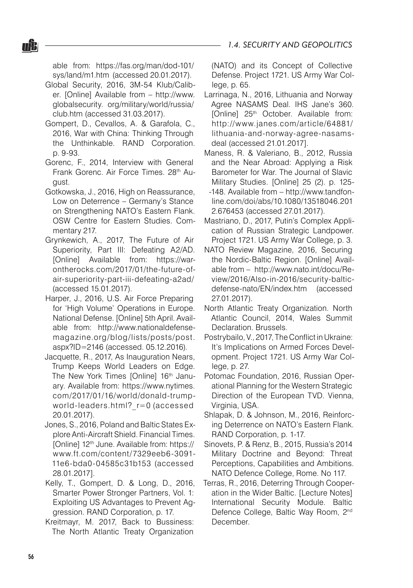able from: https://fas.org/man/dod-101/ sys/land/m1.htm (accessed 20.01.2017).

nŜ.

- Global Security, 2016, 3M-54 Klub/Caliber. [Online] Available from – http://www. globalsecurity. org/military/world/russia/ club.htm (accessed 31.03.2017).
- Gompert, D., Cevallos, A. & Garafola, C., 2016, War with China: Thinking Through the Unthinkable. RAND Corporation. p. 9-93.
- Gorenc, F., 2014, Interview with General Frank Gorenc. Air Force Times. 28th August.
- Gotkowska, J., 2016, High on Reassurance, Low on Deterrence – Germany's Stance on Strengthening NATO's Eastern Flank. OSW Centre for Eastern Studies. Commentary 217.
- Grynkewich, A., 2017, The Future of Air Superiority, Part III: Defeating A2/AD. [Online] Available from: https://warontherocks.com/2017/01/the-future-ofair-superiority-part-iii-defeating-a2ad/ (accessed 15.01.2017).
- Harper, J., 2016, U.S. Air Force Preparing for 'High Volume' Operations in Europe. National Defense. [Online] 5th April. Available from: http://www.nationaldefensemagazine.org/blog/lists/posts/post. aspx?ID=2146 (accessed. 05.12.2016).
- Jacquette, R., 2017, As Inauguration Nears, Trump Keeps World Leaders on Edge. The New York Times [Online] 16<sup>th</sup> January. Available from: https://www.nytimes. com/2017/01/16/world/donald-trumpworld-leaders.html? r=0 (accessed 20.01.2017).
- Jones, S., 2016, Poland and Baltic States Explore Anti-Aircraft Shield. Financial Times. [Online] 12<sup>th</sup> June. Available from: https:// www.ft.com/content/7329eeb6-3091- 11e6-bda0-04585c31b153 (accessed 28.01.2017].
- Kelly, T., Gompert, D. & Long, D., 2016, Smarter Power Stronger Partners, Vol. 1: Exploiting US Advantages to Prevent Aggression. RAND Corporation, p. 17.
- Kreitmayr, M. 2017, Back to Bussiness: The North Atlantic Treaty Organization

(NATO) and its Concept of Collective Defense. Project 1721. US Army War College, p. 65.

- Larrinaga, N., 2016, Lithuania and Norway Agree NASAMS Deal. IHS Jane's 360. [Online] 25<sup>th</sup> October. Available from: http://www.janes.com/article/64881/ lithuania-and-norway-agree-nasamsdeal (accessed 21.01.2017].
- Maness, R. & Valeriano, B., 2012, Russia and the Near Abroad: Applying a Risk Barometer for War. The Journal of Slavic Military Studies. [Online] 25 (2). p. 125- -148. Available from – http://www.tandfonline.com/doi/abs/10.1080/13518046.201 2.676453 (accessed 27.01.2017).
- Mastriano, D., 2017, Putin's Complex Application of Russian Strategic Landpower. Project 1721. US Army War College, p. 3.
- NATO Review Magazine, 2016, Securing the Nordic-Baltic Region. [Online] Available from – http://www.nato.int/docu/Review/2016/Also-in-2016/security-balticdefense-nato/EN/index.htm (accessed 27.01.2017).
- North Atlantic Treaty Organization. North Atlantic Council, 2014, Wales Summit Declaration. Brussels.
- Postrybailo, V., 2017, The Conflict in Ukraine: It's Implications on Armed Forces Development. Project 1721. US Army War College, p. 27.
- Potomac Foundation, 2016, Russian Operational Planning for the Western Strategic Direction of the European TVD. Vienna, Virginia, USA.
- Shlapak, D. & Johnson, M., 2016, Reinforcing Deterrence on NATO's Eastern Flank. RAND Corporation, p. 1-17.
- Sinovets, P. & Renz, B., 2015, Russia's 2014 Military Doctrine and Beyond: Threat Perceptions, Capabilities and Ambitions. NATO Defence College, Rome. No 117.
- Terras, R., 2016, Deterring Through Cooperation in the Wider Baltic. [Lecture Notes] International Security Module. Baltic Defence College, Baltic Way Room, 2<sup>nd</sup> December.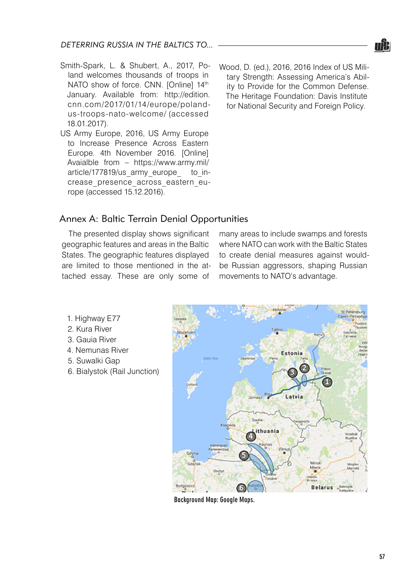- Smith-Spark, L. & Shubert, A., 2017, Poland welcomes thousands of troops in NATO show of force. CNN. [Online] 14th January. Available from: http://edition. cnn.com/2017/01/14/europe/polandus-troops-nato-welcome/ (accessed 18.01.2017).
- US Army Europe, 2016, US Army Europe to Increase Presence Across Eastern Europe. 4th November 2016. [Online] Avaialble from – https://www.army.mil/ article/177819/us army europe to increase\_presence\_across\_eastern\_europe (accessed 15.12.2016).
- Wood, D. (ed.), 2016, 2016 Index of US Military Strength: Assessing America's Ability to Provide for the Common Defense. The Heritage Foundation: Davis Institute for National Security and Foreign Policy.

#### Annex A: Baltic Terrain Denial Opportunities

The presented display shows significant geographic features and areas in the Baltic States. The geographic features displayed are limited to those mentioned in the attached essay. These are only some of

many areas to include swamps and forests where NATO can work with the Baltic States to create denial measures against wouldbe Russian aggressors, shaping Russian movements to NATO's advantage.

- 1. Highway E77
- 2. Kura River
- 3. Gauia River
- 4. Nemunas River
- 5. Suwalki Gap
- 6. Bialystok (Rail Junction)



Background Map: Google Maps.